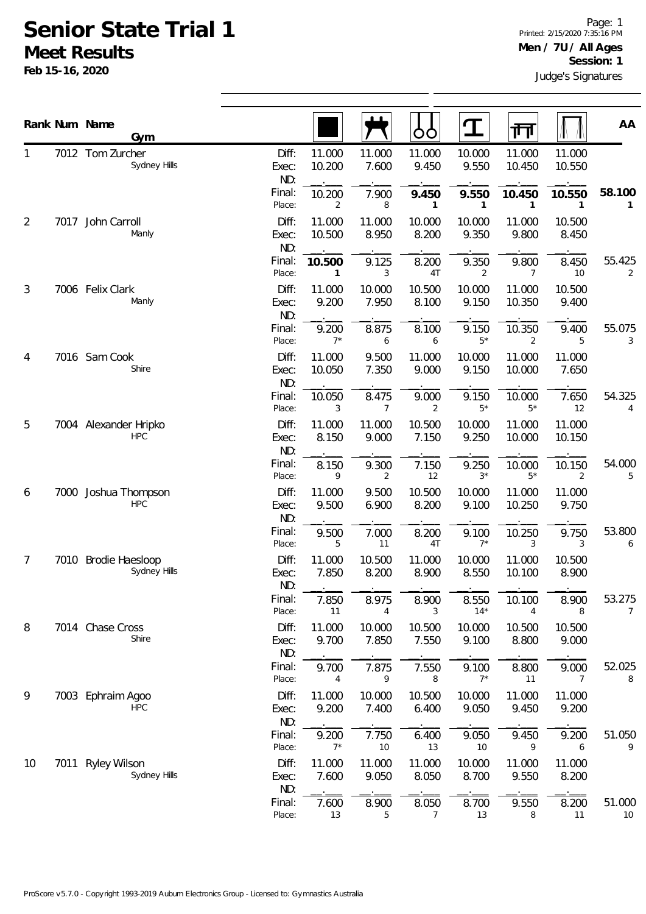## **Senior State Trial 1 Meet Results**

**Feb 15-16, 2020**

|                |      | Rank Num Name<br>Gym                 |                       |                  |                 | OO              | T                       | गंग                      |                  | AA           |
|----------------|------|--------------------------------------|-----------------------|------------------|-----------------|-----------------|-------------------------|--------------------------|------------------|--------------|
| 1              |      | 7012 Tom Zurcher<br>Sydney Hills     | Diff:<br>Exec:<br>ND: | 11.000<br>10.200 | 11.000<br>7.600 | 11.000<br>9.450 | 10.000<br>9.550         | 11.000<br>10.450         | 11.000<br>10.550 |              |
|                |      |                                      | Final:<br>Place:      | 10.200<br>2      | 7.900<br>8      | 9.450<br>1      | 9.550<br>$\mathbf{1}$   | 10.450<br>$\mathbf{1}$   | 10.550<br>1      | 58.100<br>1  |
| $\overline{2}$ | 7017 | John Carroll<br>Manly                | Diff:<br>Exec:<br>ND: | 11.000<br>10.500 | 11.000<br>8.950 | 10.000<br>8.200 | 10.000<br>9.350         | 11.000<br>9.800          | 10.500<br>8.450  |              |
|                |      |                                      | Final:<br>Place:      | 10.500<br>1      | 9.125<br>3      | 8.200<br>4T     | 9.350<br>$\overline{2}$ | 9.800<br>$\overline{7}$  | 8.450<br>10      | 55.425<br>2  |
| 3              |      | 7006 Felix Clark<br>Manly            | Diff:<br>Exec:<br>ND: | 11.000<br>9.200  | 10.000<br>7.950 | 10.500<br>8.100 | 10.000<br>9.150         | 11.000<br>10.350         | 10.500<br>9.400  |              |
|                |      |                                      | Final:<br>Place:      | 9.200<br>$7*$    | 8.875<br>6      | 8.100<br>6      | 9.150<br>$5*$           | 10.350<br>$\overline{2}$ | 9.400<br>5       | 55.075<br>3  |
| 4              |      | 7016 Sam Cook<br>Shire               | Diff:<br>Exec:<br>ND: | 11.000<br>10.050 | 9.500<br>7.350  | 11.000<br>9.000 | 10.000<br>9.150         | 11.000<br>10.000         | 11.000<br>7.650  |              |
|                |      |                                      | Final:<br>Place:      | 10.050<br>3      | 8.475<br>7      | 9.000<br>2      | 9.150<br>$5*$           | 10.000<br>$5*$           | 7.650<br>12      | 54.325<br>4  |
| 5              |      | 7004 Alexander Hripko<br><b>HPC</b>  | Diff:<br>Exec:<br>ND: | 11.000<br>8.150  | 11.000<br>9.000 | 10.500<br>7.150 | 10.000<br>9.250         | 11.000<br>10.000         | 11.000<br>10.150 |              |
|                |      |                                      | Final:<br>Place:      | 8.150<br>9       | 9.300<br>2      | 7.150<br>12     | 9.250<br>$3^*$          | 10.000<br>$5*$           | 10.150<br>2      | 54.000<br>5  |
| 6              |      | 7000 Joshua Thompson<br><b>HPC</b>   | Diff:<br>Exec:<br>ND: | 11.000<br>9.500  | 9.500<br>6.900  | 10.500<br>8.200 | 10.000<br>9.100         | 11.000<br>10.250         | 11.000<br>9.750  |              |
|                |      |                                      | Final:<br>Place:      | 9.500<br>5       | 7.000<br>11     | 8.200<br>4T     | 9.100<br>$7^*$          | 10.250<br>3              | 9.750<br>3       | 53.800<br>6  |
| 7              |      | 7010 Brodie Haesloop<br>Sydney Hills | Diff:<br>Exec:<br>ND: | 11.000<br>7.850  | 10.500<br>8.200 | 11.000<br>8.900 | 10.000<br>8.550         | 11.000<br>10.100         | 10.500<br>8.900  |              |
|                |      |                                      | Final:<br>Place:      | 7.850<br>11      | 8.975<br>4      | 8.900<br>3      | 8.550<br>$14*$          | 10.100<br>4              | 8.900<br>8       | 53.275<br>7  |
| 8              |      | 7014 Chase Cross<br>Shire            | Diff:<br>Exec:<br>ND: | 11.000<br>9.700  | 10.000<br>7.850 | 10.500<br>7.550 | 10.000<br>9.100         | 10.500<br>8.800          | 10.500<br>9.000  |              |
|                |      |                                      | Final:<br>Place:      | 9.700<br>4       | 7.875<br>9      | 7.550<br>8      | 9.100<br>$7^*$          | 8.800<br>11              | 9.000<br>7       | 52.025<br>8  |
| 9              |      | 7003 Ephraim Agoo<br><b>HPC</b>      | Diff:<br>Exec:<br>ND: | 11.000<br>9.200  | 10.000<br>7.400 | 10.500<br>6.400 | 10.000<br>9.050         | 11.000<br>9.450          | 11.000<br>9.200  |              |
|                |      |                                      | Final:<br>Place:      | 9.200<br>$7^*$   | 7.750<br>$10$   | 6.400<br>13     | 9.050<br>10             | 9.450<br>9               | 9.200<br>6       | 51.050<br>9  |
| 10             | 7011 | <b>Ryley Wilson</b><br>Sydney Hills  | Diff:<br>Exec:<br>ND: | 11.000<br>7.600  | 11.000<br>9.050 | 11.000<br>8.050 | 10.000<br>8.700         | 11.000<br>9.550          | 11.000<br>8.200  |              |
|                |      |                                      | Final:<br>Place:      | 7.600<br>13      | 8.900<br>5      | 8.050<br>7      | 8.700<br>13             | 9.550<br>8               | 8.200<br>11      | 51.000<br>10 |